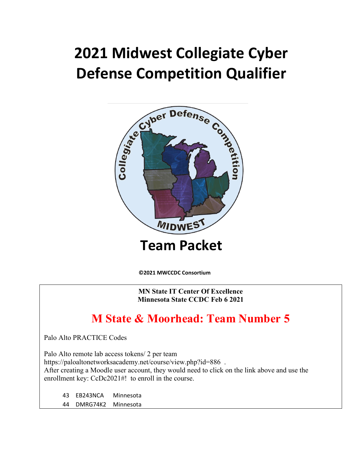# **2021 Midwest Collegiate Cyber Defense Competition Qualifier**



**©2021 MWCCDC Consortium** 

**MN State IT Center Of Excellence Minnesota State CCDC Feb 6 2021**

# **M State & Moorhead: Team Number 5**

Palo Alto PRACTICE Codes

Palo Alto remote lab access tokens/ 2 per team

https://paloaltonetworksacademy.net/course/view.php?id=886 .

After creating a Moodle user account, they would need to click on the link above and use the enrollment key: CcDc2021#! to enroll in the course.

43 EB243NCA Minnesota 44 DMRG74K2 Minnesota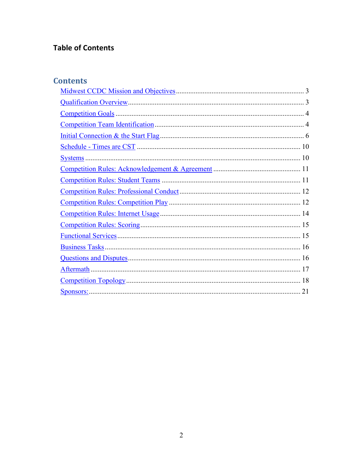## **Table of Contents**

### **Contents**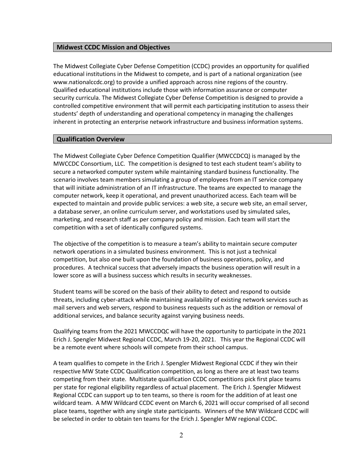#### <span id="page-2-0"></span>**Midwest CCDC Mission and Objectives**

The Midwest Collegiate Cyber Defense Competition (CCDC) provides an opportunity for qualified educational institutions in the Midwest to compete, and is part of a national organization (see www.nationalccdc.org) to provide a unified approach across nine regions of the country. Qualified educational institutions include those with information assurance or computer security curricula. The Midwest Collegiate Cyber Defense Competition is designed to provide a controlled competitive environment that will permit each participating institution to assess their students' depth of understanding and operational competency in managing the challenges inherent in protecting an enterprise network infrastructure and business information systems.

#### <span id="page-2-1"></span>**Qualification Overview**

The Midwest Collegiate Cyber Defence Competition Qualifier (MWCCDCQ) is managed by the MWCCDC Consortium, LLC. The competition is designed to test each student team's ability to secure a networked computer system while maintaining standard business functionality. The scenario involves team members simulating a group of employees from an IT service company that will initiate administration of an IT infrastructure. The teams are expected to manage the computer network, keep it operational, and prevent unauthorized access. Each team will be expected to maintain and provide public services: a web site, a secure web site, an email server, a database server, an online curriculum server, and workstations used by simulated sales, marketing, and research staff as per company policy and mission. Each team will start the competition with a set of identically configured systems.

The objective of the competition is to measure a team's ability to maintain secure computer network operations in a simulated business environment. This is not just a technical competition, but also one built upon the foundation of business operations, policy, and procedures. A technical success that adversely impacts the business operation will result in a lower score as will a business success which results in security weaknesses.

Student teams will be scored on the basis of their ability to detect and respond to outside threats, including cyber-attack while maintaining availability of existing network services such as mail servers and web servers, respond to business requests such as the addition or removal of additional services, and balance security against varying business needs.

Qualifying teams from the 2021 MWCCDQC will have the opportunity to participate in the 2021 Erich J. Spengler Midwest Regional CCDC, March 19-20, 2021. This year the Regional CCDC will be a remote event where schools will compete from their school campus.

A team qualifies to compete in the Erich J. Spengler Midwest Regional CCDC if they win their respective MW State CCDC Qualification competition, as long as there are at least two teams competing from their state. Multistate qualification CCDC competitions pick first place teams per state for regional eligibility regardless of actual placement. The Erich J. Spengler Midwest Regional CCDC can support up to ten teams, so there is room for the addition of at least one wildcard team. A MW Wildcard CCDC event on March 6, 2021 will occur comprised of all second place teams, together with any single state participants. Winners of the MW Wildcard CCDC will be selected in order to obtain ten teams for the Erich J. Spengler MW regional CCDC.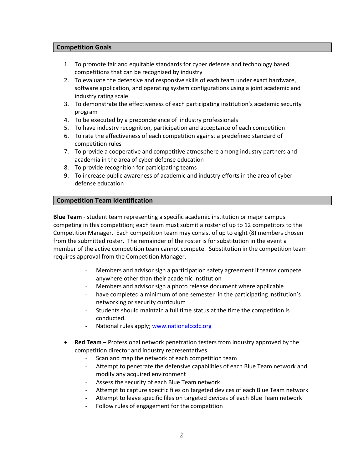#### <span id="page-3-0"></span>**Competition Goals**

- 1. To promote fair and equitable standards for cyber defense and technology based competitions that can be recognized by industry
- 2. To evaluate the defensive and responsive skills of each team under exact hardware, software application, and operating system configurations using a joint academic and industry rating scale
- 3. To demonstrate the effectiveness of each participating institution's academic security program
- 4. To be executed by a preponderance of industry professionals
- 5. To have industry recognition, participation and acceptance of each competition
- 6. To rate the effectiveness of each competition against a predefined standard of competition rules
- 7. To provide a cooperative and competitive atmosphere among industry partners and academia in the area of cyber defense education
- 8. To provide recognition for participating teams
- 9. To increase public awareness of academic and industry efforts in the area of cyber defense education

#### <span id="page-3-1"></span>**Competition Team Identification**

**Blue Team** - student team representing a specific academic institution or major campus competing in this competition; each team must submit a roster of up to 12 competitors to the Competition Manager. Each competition team may consist of up to eight (8) members chosen from the submitted roster. The remainder of the roster is for substitution in the event a member of the active competition team cannot compete. Substitution in the competition team requires approval from the Competition Manager.

- Members and advisor sign a participation safety agreement if teams compete anywhere other than their academic institution
- Members and advisor sign a photo release document where applicable
- have completed a minimum of one semester in the participating institution's networking or security curriculum
- Students should maintain a full time status at the time the competition is conducted.
- National rules apply[; www.nationalccdc.org](about:blank)
- **Red Team** Professional network penetration testers from industry approved by the competition director and industry representatives
	- Scan and map the network of each competition team
	- Attempt to penetrate the defensive capabilities of each Blue Team network and modify any acquired environment
	- Assess the security of each Blue Team network
	- Attempt to capture specific files on targeted devices of each Blue Team network
	- Attempt to leave specific files on targeted devices of each Blue Team network
	- Follow rules of engagement for the competition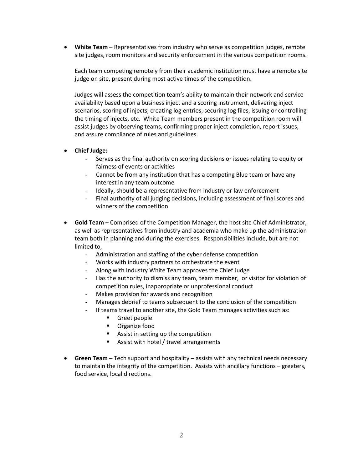• **White Team** – Representatives from industry who serve as competition judges, remote site judges, room monitors and security enforcement in the various competition rooms.

Each team competing remotely from their academic institution must have a remote site judge on site, present during most active times of the competition.

Judges will assess the competition team's ability to maintain their network and service availability based upon a business inject and a scoring instrument, delivering inject scenarios, scoring of injects, creating log entries, securing log files, issuing or controlling the timing of injects, etc. White Team members present in the competition room will assist judges by observing teams, confirming proper inject completion, report issues, and assure compliance of rules and guidelines.

- **Chief Judge:**
	- Serves as the final authority on scoring decisions or issues relating to equity or fairness of events or activities
	- Cannot be from any institution that has a competing Blue team or have any interest in any team outcome
	- Ideally, should be a representative from industry or law enforcement
	- Final authority of all judging decisions, including assessment of final scores and winners of the competition
- **Gold Team** Comprised of the Competition Manager, the host site Chief Administrator, as well as representatives from industry and academia who make up the administration team both in planning and during the exercises. Responsibilities include, but are not limited to,
	- Administration and staffing of the cyber defense competition
	- Works with industry partners to orchestrate the event
	- Along with Industry White Team approves the Chief Judge
	- Has the authority to dismiss any team, team member, or visitor for violation of competition rules, inappropriate or unprofessional conduct
	- Makes provision for awards and recognition
	- Manages debrief to teams subsequent to the conclusion of the competition
	- If teams travel to another site, the Gold Team manages activities such as:
		- **Greet people**
		- **•** Organize food
		- **Assist in setting up the competition**
		- **Assist with hotel / travel arrangements**
- **Green Team**  Tech support and hospitality assists with any technical needs necessary to maintain the integrity of the competition. Assists with ancillary functions – greeters, food service, local directions.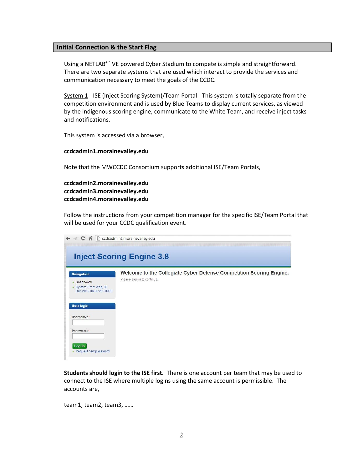#### <span id="page-5-0"></span>**Initial Connection & the Start Flag**

Using a NETLAB+™ VE powered Cyber Stadium to compete is simple and straightforward. There are two separate systems that are used which interact to provide the services and communication necessary to meet the goals of the CCDC.

System 1 - ISE (Inject Scoring System)/Team Portal - This system is totally separate from the competition environment and is used by Blue Teams to display current services, as viewed by the indigenous scoring engine, communicate to the White Team, and receive inject tasks and notifications.

This system is accessed via a browser,

#### **ccdcadmin1.morainevalley.edu**

Note that the MWCCDC Consortium supports additional ISE/Team Portals,

**ccdcadmin2.morainevalley.edu ccdcadmin3.morainevalley.edu ccdcadmin4.morainevalley.edu**

Follow the instructions from your competition manager for the specific ISE/Team Portal that will be used for your CCDC qualification event.

| $\leftarrow$ $\rightarrow$ C<br>← ccdcadmin1.morainevalley.edu                        |                                                                                                    |  |  |  |  |  |  |  |
|---------------------------------------------------------------------------------------|----------------------------------------------------------------------------------------------------|--|--|--|--|--|--|--|
|                                                                                       | <b>Inject Scoring Engine 3.8</b>                                                                   |  |  |  |  |  |  |  |
| <b>Navigation</b><br>• Dashboard<br>· System Time: Wed, 05<br>Dec 2012 04:02:20 +0000 | Welcome to the Collegiate Cyber Defense Competition Scoring Engine.<br>Please sign in to continue. |  |  |  |  |  |  |  |
| <b>User login</b><br>Username: *                                                      |                                                                                                    |  |  |  |  |  |  |  |
| Password:*<br>Log in<br>• Request new password                                        |                                                                                                    |  |  |  |  |  |  |  |

**Students should login to the ISE first.** There is one account per team that may be used to connect to the ISE where multiple logins using the same account is permissible. The accounts are,

team1, team2, team3, ……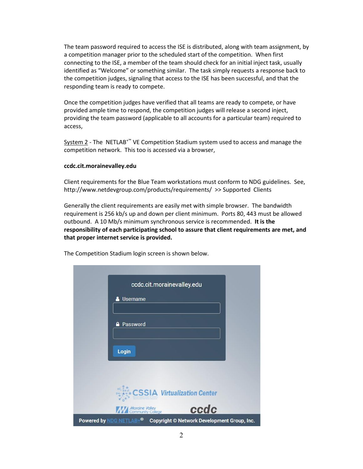The team password required to access the ISE is distributed, along with team assignment, by a competition manager prior to the scheduled start of the competition. When first connecting to the ISE, a member of the team should check for an initial inject task, usually identified as "Welcome" or something similar. The task simply requests a response back to the competition judges, signaling that access to the ISE has been successful, and that the responding team is ready to compete.

Once the competition judges have verified that all teams are ready to compete, or have provided ample time to respond, the competition judges will release a second inject, providing the team password (applicable to all accounts for a particular team) required to access,

 $System 2$  - The NETLAB<sup>+™</sup> VE Competition Stadium system used to access and manage the competition network. This too is accessed via a browser,

#### **ccdc.cit.morainevalley.edu**

Client requirements for the Blue Team workstations must conform to NDG guidelines. See, http://www.netdevgroup.com/products/requirements/ >> Supported Clients

Generally the client requirements are easily met with simple browser. The bandwidth requirement is 256 kb/s up and down per client minimum. Ports 80, 443 must be allowed outbound. A 10 Mb/s minimum synchronous service is recommended. **It is the responsibility of each participating school to assure that client requirements are met, and that proper internet service is provided.** 

The Competition Stadium login screen is shown below.

| ccdc.cit.morainevalley.edu                                                      |
|---------------------------------------------------------------------------------|
| <b>Username</b>                                                                 |
|                                                                                 |
| <b>A</b> Password                                                               |
|                                                                                 |
| Login                                                                           |
|                                                                                 |
|                                                                                 |
| CSSIA Virtualization Center                                                     |
| ccdc<br><b>Moraine Valley</b><br><b>Margin College</b>                          |
| Powered by NDG NETLAB+ <sup>®</sup> Copyright © Network Development Group, Inc. |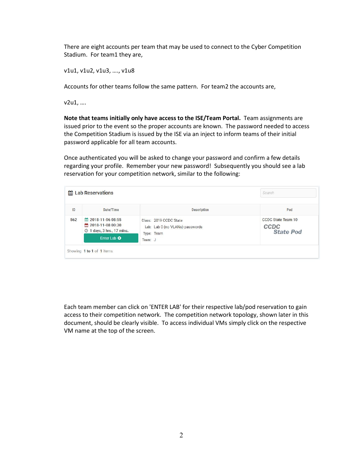There are eight accounts per team that may be used to connect to the Cyber Competition Stadium. For team1 they are,

v1u1, v1u2, v1u3, …., v1u8

Accounts for other teams follow the same pattern. For team2 the accounts are,

v2u1, ….

**Note that teams initially only have access to the ISE/Team Portal.** Team assignments are issued prior to the event so the proper accounts are known. The password needed to access the Competition Stadium is issued by the ISE via an inject to inform teams of their initial password applicable for all team accounts.

Once authenticated you will be asked to change your password and confirm a few details regarding your profile. Remember your new password! Subsequently you should see a lab reservation for your competition network, similar to the following:

| ID  | Date/Time                                                                   | <b>Description</b>                                                      | Pod                                                   |
|-----|-----------------------------------------------------------------------------|-------------------------------------------------------------------------|-------------------------------------------------------|
| 562 | 2018-11-06 08:55<br>2018-11-08 00:30<br>$\odot$<br>1 days, 3 hrs., 17 mins. | Class: 2019 CCDC State<br>Lab: Lab 0 (no VLANs) passwords<br>Type: Team | <b>CCDC State Team 10</b><br>CCDC<br><b>State Pod</b> |
|     | Enter Lab O                                                                 | Team: J                                                                 |                                                       |

Each team member can click on 'ENTER LAB' for their respective lab/pod reservation to gain access to their competition network. The competition network topology, shown later in this document, should be clearly visible. To access individual VMs simply click on the respective VM name at the top of the screen.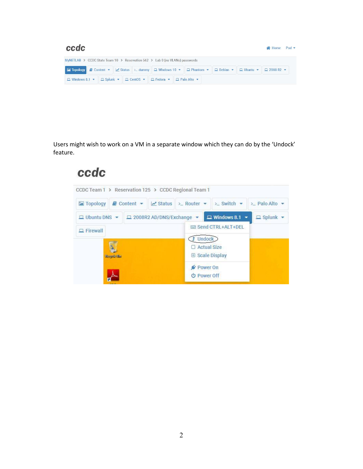| ccdc                                                                                                                            |  |  |  |  |  |  | Nellie Pod . |  |                                                                                                              |  |                                    |  |
|---------------------------------------------------------------------------------------------------------------------------------|--|--|--|--|--|--|--------------|--|--------------------------------------------------------------------------------------------------------------|--|------------------------------------|--|
| MyNETLAB > CCDC State Team 10 > Reservation 562 > Lab 0 (no VLANs) passwords                                                    |  |  |  |  |  |  |              |  |                                                                                                              |  |                                    |  |
|                                                                                                                                 |  |  |  |  |  |  |              |  | E Topology <i>B</i> Content ▼ M Status > dummy <b>Q Windows 10 ▼   Q Phantom ▼   Q Debian ▼   Q Ubuntu ▼</b> |  | $\Box$ 2008 R <sub>2</sub> $\star$ |  |
| $\Box$ Windows 8.1 $\bullet$ $\Box$ Splunk $\bullet$ $\Box$ CentOS $\bullet$ $\Box$ Fedora $\bullet$ $\Box$ Palo Alto $\bullet$ |  |  |  |  |  |  |              |  |                                                                                                              |  |                                    |  |

Users might wish to work on a VM in a separate window which they can do by the 'Undock' feature.

# ccdc

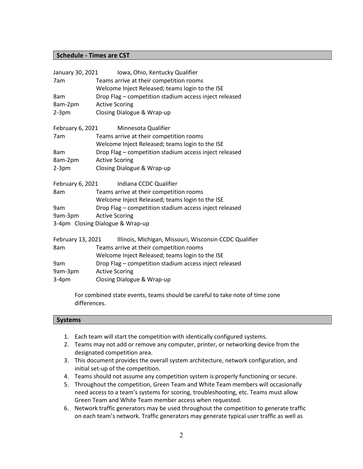#### <span id="page-9-0"></span>**Schedule - Times are CST**

| January 30, 2021  | Iowa, Ohio, Kentucky Qualifier                         |  |  |  |  |  |  |  |
|-------------------|--------------------------------------------------------|--|--|--|--|--|--|--|
| 7am               | Teams arrive at their competition rooms                |  |  |  |  |  |  |  |
|                   | Welcome Inject Released; teams login to the ISE        |  |  |  |  |  |  |  |
| 8am               | Drop Flag - competition stadium access inject released |  |  |  |  |  |  |  |
| 8am-2pm           | <b>Active Scoring</b>                                  |  |  |  |  |  |  |  |
| $2-3pm$           | Closing Dialogue & Wrap-up                             |  |  |  |  |  |  |  |
| February 6, 2021  | Minnesota Qualifier                                    |  |  |  |  |  |  |  |
| 7am               | Teams arrive at their competition rooms                |  |  |  |  |  |  |  |
|                   | Welcome Inject Released; teams login to the ISE        |  |  |  |  |  |  |  |
| 8am               | Drop Flag - competition stadium access inject released |  |  |  |  |  |  |  |
| 8am-2pm           | <b>Active Scoring</b>                                  |  |  |  |  |  |  |  |
| $2-3pm$           | Closing Dialogue & Wrap-up                             |  |  |  |  |  |  |  |
| February 6, 2021  | Indiana CCDC Qualifier                                 |  |  |  |  |  |  |  |
| 8am               | Teams arrive at their competition rooms                |  |  |  |  |  |  |  |
|                   | Welcome Inject Released; teams login to the ISE        |  |  |  |  |  |  |  |
| 9am               | Drop Flag - competition stadium access inject released |  |  |  |  |  |  |  |
| 9am-3pm           | <b>Active Scoring</b>                                  |  |  |  |  |  |  |  |
|                   | 3-4pm Closing Dialogue & Wrap-up                       |  |  |  |  |  |  |  |
| February 13, 2021 | Illinois, Michigan, Missouri, Wisconsin CCDC Qualifier |  |  |  |  |  |  |  |
| 8am               | Teams arrive at their competition rooms                |  |  |  |  |  |  |  |
|                   | Welcome Inject Released; teams login to the ISE        |  |  |  |  |  |  |  |
| 9am               | Drop Flag - competition stadium access inject released |  |  |  |  |  |  |  |
| 9am-3pm           | <b>Active Scoring</b>                                  |  |  |  |  |  |  |  |
| $3-4pm$           | Closing Dialogue & Wrap-up                             |  |  |  |  |  |  |  |

For combined state events, teams should be careful to take note of time zone differences.

#### <span id="page-9-1"></span>**Systems**

- 1. Each team will start the competition with identically configured systems.
- 2. Teams may not add or remove any computer, printer, or networking device from the designated competition area.
- 3. This document provides the overall system architecture, network configuration, and initial set-up of the competition.
- 4. Teams should not assume any competition system is properly functioning or secure.
- 5. Throughout the competition, Green Team and White Team members will occasionally need access to a team's systems for scoring, troubleshooting, etc. Teams must allow Green Team and White Team member access when requested.
- 6. Network traffic generators may be used throughout the competition to generate traffic on each team's network. Traffic generators may generate typical user traffic as well as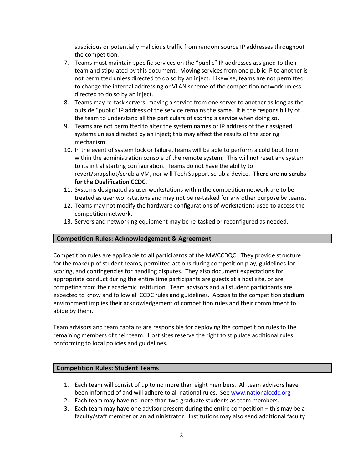suspicious or potentially malicious traffic from random source IP addresses throughout the competition.

- 7. Teams must maintain specific services on the "public" IP addresses assigned to their team and stipulated by this document. Moving services from one public IP to another is not permitted unless directed to do so by an inject. Likewise, teams are not permitted to change the internal addressing or VLAN scheme of the competition network unless directed to do so by an inject.
- 8. Teams may re-task servers, moving a service from one server to another as long as the outside "public" IP address of the service remains the same. It is the responsibility of the team to understand all the particulars of scoring a service when doing so.
- 9. Teams are not permitted to alter the system names or IP address of their assigned systems unless directed by an inject; this may affect the results of the scoring mechanism.
- 10. In the event of system lock or failure, teams will be able to perform a cold boot from within the administration console of the remote system. This will not reset any system to its initial starting configuration. Teams do not have the ability to revert/snapshot/scrub a VM, nor will Tech Support scrub a device. **There are no scrubs for the Qualification CCDC.**
- 11. Systems designated as user workstations within the competition network are to be treated as user workstations and may not be re-tasked for any other purpose by teams.
- 12. Teams may not modify the hardware configurations of workstations used to access the competition network.
- 13. Servers and networking equipment may be re-tasked or reconfigured as needed.

#### <span id="page-10-0"></span>**Competition Rules: Acknowledgement & Agreement**

Competition rules are applicable to all participants of the MWCCDQC. They provide structure for the makeup of student teams, permitted actions during competition play, guidelines for scoring, and contingencies for handling disputes. They also document expectations for appropriate conduct during the entire time participants are guests at a host site, or are competing from their academic institution. Team advisors and all student participants are expected to know and follow all CCDC rules and guidelines. Access to the competition stadium environment implies their acknowledgement of competition rules and their commitment to abide by them.

Team advisors and team captains are responsible for deploying the competition rules to the remaining members of their team. Host sites reserve the right to stipulate additional rules conforming to local policies and guidelines.

#### <span id="page-10-1"></span>**Competition Rules: Student Teams**

- 1. Each team will consist of up to no more than eight members. All team advisors have been informed of and will adhere to all national rules. See [www.nationalccdc.org](about:blank)
- 2. Each team may have no more than two graduate students as team members.
- 3. Each team may have one advisor present during the entire competition this may be a faculty/staff member or an administrator. Institutions may also send additional faculty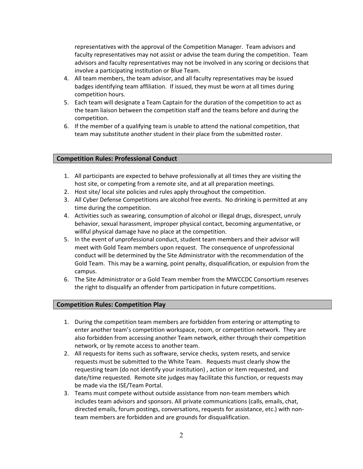representatives with the approval of the Competition Manager. Team advisors and faculty representatives may not assist or advise the team during the competition. Team advisors and faculty representatives may not be involved in any scoring or decisions that involve a participating institution or Blue Team.

- 4. All team members, the team advisor, and all faculty representatives may be issued badges identifying team affiliation. If issued, they must be worn at all times during competition hours.
- 5. Each team will designate a Team Captain for the duration of the competition to act as the team liaison between the competition staff and the teams before and during the competition.
- 6. If the member of a qualifying team is unable to attend the national competition, that team may substitute another student in their place from the submitted roster.

#### <span id="page-11-0"></span>**Competition Rules: Professional Conduct**

- 1. All participants are expected to behave professionally at all times they are visiting the host site, or competing from a remote site, and at all preparation meetings.
- 2. Host site/ local site policies and rules apply throughout the competition.
- 3. All Cyber Defense Competitions are alcohol free events. No drinking is permitted at any time during the competition.
- 4. Activities such as swearing, consumption of alcohol or illegal drugs, disrespect, unruly behavior, sexual harassment, improper physical contact, becoming argumentative, or willful physical damage have no place at the competition.
- 5. In the event of unprofessional conduct, student team members and their advisor will meet with Gold Team members upon request. The consequence of unprofessional conduct will be determined by the Site Administrator with the recommendation of the Gold Team. This may be a warning, point penalty, disqualification, or expulsion from the campus.
- 6. The Site Administrator or a Gold Team member from the MWCCDC Consortium reserves the right to disqualify an offender from participation in future competitions.

#### <span id="page-11-1"></span>**Competition Rules: Competition Play**

- 1. During the competition team members are forbidden from entering or attempting to enter another team's competition workspace, room, or competition network. They are also forbidden from accessing another Team network, either through their competition network, or by remote access to another team.
- 2. All requests for items such as software, service checks, system resets, and service requests must be submitted to the White Team. Requests must clearly show the requesting team (do not identify your institution) , action or item requested, and date/time requested. Remote site judges may facilitate this function, or requests may be made via the ISE/Team Portal.
- 3. Teams must compete without outside assistance from non-team members which includes team advisors and sponsors. All private communications (calls, emails, chat, directed emails, forum postings, conversations, requests for assistance, etc.) with nonteam members are forbidden and are grounds for disqualification.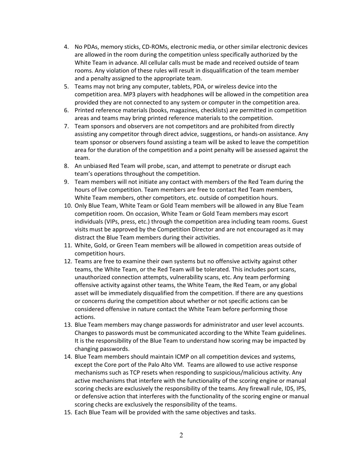- 4. No PDAs, memory sticks, CD-ROMs, electronic media, or other similar electronic devices are allowed in the room during the competition unless specifically authorized by the White Team in advance. All cellular calls must be made and received outside of team rooms. Any violation of these rules will result in disqualification of the team member and a penalty assigned to the appropriate team.
- 5. Teams may not bring any computer, tablets, PDA, or wireless device into the competition area. MP3 players with headphones will be allowed in the competition area provided they are not connected to any system or computer in the competition area.
- 6. Printed reference materials (books, magazines, checklists) are permitted in competition areas and teams may bring printed reference materials to the competition.
- 7. Team sponsors and observers are not competitors and are prohibited from directly assisting any competitor through direct advice, suggestions, or hands-on assistance. Any team sponsor or observers found assisting a team will be asked to leave the competition area for the duration of the competition and a point penalty will be assessed against the team.
- 8. An unbiased Red Team will probe, scan, and attempt to penetrate or disrupt each team's operations throughout the competition.
- 9. Team members will not initiate any contact with members of the Red Team during the hours of live competition. Team members are free to contact Red Team members, White Team members, other competitors, etc. outside of competition hours.
- 10. Only Blue Team, White Team or Gold Team members will be allowed in any Blue Team competition room. On occasion, White Team or Gold Team members may escort individuals (VIPs, press, etc.) through the competition area including team rooms. Guest visits must be approved by the Competition Director and are not encouraged as it may distract the Blue Team members during their activities.
- 11. White, Gold, or Green Team members will be allowed in competition areas outside of competition hours.
- 12. Teams are free to examine their own systems but no offensive activity against other teams, the White Team, or the Red Team will be tolerated. This includes port scans, unauthorized connection attempts, vulnerability scans, etc. Any team performing offensive activity against other teams, the White Team, the Red Team, or any global asset will be immediately disqualified from the competition. If there are any questions or concerns during the competition about whether or not specific actions can be considered offensive in nature contact the White Team before performing those actions.
- 13. Blue Team members may change passwords for administrator and user level accounts. Changes to passwords must be communicated according to the White Team guidelines. It is the responsibility of the Blue Team to understand how scoring may be impacted by changing passwords.
- 14. Blue Team members should maintain ICMP on all competition devices and systems, except the Core port of the Palo Alto VM. Teams are allowed to use active response mechanisms such as TCP resets when responding to suspicious/malicious activity. Any active mechanisms that interfere with the functionality of the scoring engine or manual scoring checks are exclusively the responsibility of the teams. Any firewall rule, IDS, IPS, or defensive action that interferes with the functionality of the scoring engine or manual scoring checks are exclusively the responsibility of the teams.
- 15. Each Blue Team will be provided with the same objectives and tasks.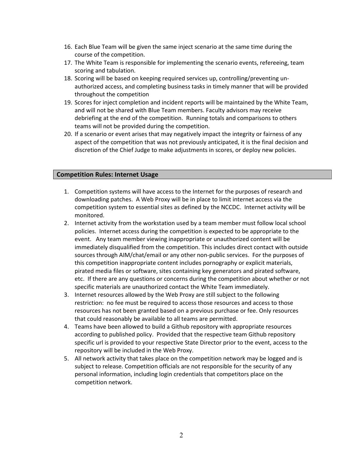- 16. Each Blue Team will be given the same inject scenario at the same time during the course of the competition.
- 17. The White Team is responsible for implementing the scenario events, refereeing, team scoring and tabulation.
- 18. Scoring will be based on keeping required services up, controlling/preventing unauthorized access, and completing business tasks in timely manner that will be provided throughout the competition
- 19. Scores for inject completion and incident reports will be maintained by the White Team, and will not be shared with Blue Team members. Faculty advisors may receive debriefing at the end of the competition. Running totals and comparisons to others teams will not be provided during the competition.
- 20. If a scenario or event arises that may negatively impact the integrity or fairness of any aspect of the competition that was not previously anticipated, it is the final decision and discretion of the Chief Judge to make adjustments in scores, or deploy new policies.

#### <span id="page-13-0"></span>**Competition Rules: Internet Usage**

- 1. Competition systems will have access to the Internet for the purposes of research and downloading patches. A Web Proxy will be in place to limit internet access via the competition system to essential sites as defined by the NCCDC. Internet activity will be monitored.
- 2. Internet activity from the workstation used by a team member must follow local school policies. Internet access during the competition is expected to be appropriate to the event. Any team member viewing inappropriate or unauthorized content will be immediately disqualified from the competition. This includes direct contact with outside sources through AIM/chat/email or any other non-public services. For the purposes of this competition inappropriate content includes pornography or explicit materials, pirated media files or software, sites containing key generators and pirated software, etc. If there are any questions or concerns during the competition about whether or not specific materials are unauthorized contact the White Team immediately.
- 3. Internet resources allowed by the Web Proxy are still subject to the following restriction: no fee must be required to access those resources and access to those resources has not been granted based on a previous purchase or fee. Only resources that could reasonably be available to all teams are permitted.
- 4. Teams have been allowed to build a Github repository with appropriate resources according to published policy. Provided that the respective team Github repository specific url is provided to your respective State Director prior to the event, access to the repository will be included in the Web Proxy.
- 5. All network activity that takes place on the competition network may be logged and is subject to release. Competition officials are not responsible for the security of any personal information, including login credentials that competitors place on the competition network.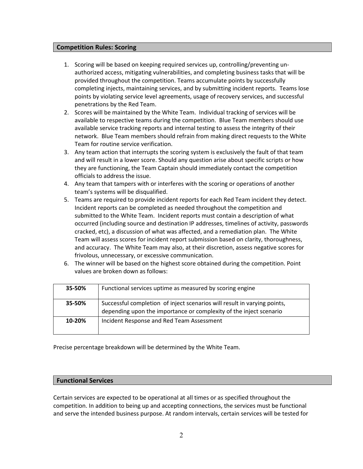#### <span id="page-14-0"></span>**Competition Rules: Scoring**

- 1. Scoring will be based on keeping required services up, controlling/preventing unauthorized access, mitigating vulnerabilities, and completing business tasks that will be provided throughout the competition. Teams accumulate points by successfully completing injects, maintaining services, and by submitting incident reports. Teams lose points by violating service level agreements, usage of recovery services, and successful penetrations by the Red Team.
- 2. Scores will be maintained by the White Team. Individual tracking of services will be available to respective teams during the competition. Blue Team members should use available service tracking reports and internal testing to assess the integrity of their network. Blue Team members should refrain from making direct requests to the White Team for routine service verification.
- 3. Any team action that interrupts the scoring system is exclusively the fault of that team and will result in a lower score. Should any question arise about specific scripts or how they are functioning, the Team Captain should immediately contact the competition officials to address the issue.
- 4. Any team that tampers with or interferes with the scoring or operations of another team's systems will be disqualified.
- 5. Teams are required to provide incident reports for each Red Team incident they detect. Incident reports can be completed as needed throughout the competition and submitted to the White Team. Incident reports must contain a description of what occurred (including source and destination IP addresses, timelines of activity, passwords cracked, etc), a discussion of what was affected, and a remediation plan. The White Team will assess scores for incident report submission based on clarity, thoroughness, and accuracy. The White Team may also, at their discretion, assess negative scores for frivolous, unnecessary, or excessive communication.
- 6. The winner will be based on the highest score obtained during the competition. Point values are broken down as follows:

| 35-50% | Functional services uptime as measured by scoring engine                                                                                       |
|--------|------------------------------------------------------------------------------------------------------------------------------------------------|
| 35-50% | Successful completion of inject scenarios will result in varying points,<br>depending upon the importance or complexity of the inject scenario |
| 10-20% | Incident Response and Red Team Assessment                                                                                                      |

Precise percentage breakdown will be determined by the White Team.

#### <span id="page-14-1"></span>**Functional Services**

Certain services are expected to be operational at all times or as specified throughout the competition. In addition to being up and accepting connections, the services must be functional and serve the intended business purpose. At random intervals, certain services will be tested for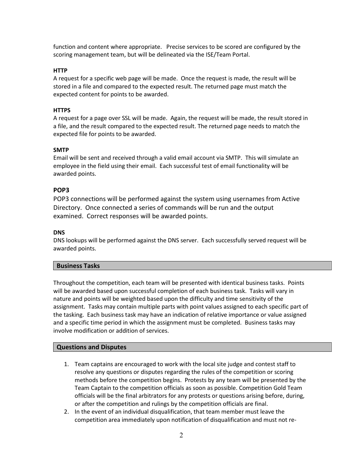function and content where appropriate. Precise services to be scored are configured by the scoring management team, but will be delineated via the ISE/Team Portal.

#### **HTTP**

A request for a specific web page will be made. Once the request is made, the result will be stored in a file and compared to the expected result. The returned page must match the expected content for points to be awarded.

#### **HTTPS**

A request for a page over SSL will be made. Again, the request will be made, the result stored in a file, and the result compared to the expected result. The returned page needs to match the expected file for points to be awarded.

#### **SMTP**

Email will be sent and received through a valid email account via SMTP. This will simulate an employee in the field using their email. Each successful test of email functionality will be awarded points.

#### **POP3**

POP3 connections will be performed against the system using usernames from Active Directory. Once connected a series of commands will be run and the output examined. Correct responses will be awarded points.

#### **DNS**

DNS lookups will be performed against the DNS server. Each successfully served request will be awarded points.

#### <span id="page-15-0"></span>**Business Tasks**

Throughout the competition, each team will be presented with identical business tasks. Points will be awarded based upon successful completion of each business task. Tasks will vary in nature and points will be weighted based upon the difficulty and time sensitivity of the assignment. Tasks may contain multiple parts with point values assigned to each specific part of the tasking. Each business task may have an indication of relative importance or value assigned and a specific time period in which the assignment must be completed. Business tasks may involve modification or addition of services.

#### <span id="page-15-1"></span>**Questions and Disputes**

- 1. Team captains are encouraged to work with the local site judge and contest staff to resolve any questions or disputes regarding the rules of the competition or scoring methods before the competition begins. Protests by any team will be presented by the Team Captain to the competition officials as soon as possible. Competition Gold Team officials will be the final arbitrators for any protests or questions arising before, during, or after the competition and rulings by the competition officials are final.
- 2. In the event of an individual disqualification, that team member must leave the competition area immediately upon notification of disqualification and must not re-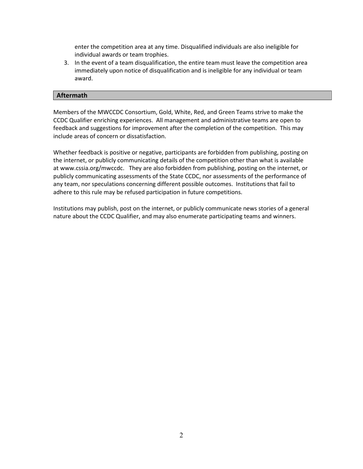enter the competition area at any time. Disqualified individuals are also ineligible for individual awards or team trophies.

3. In the event of a team disqualification, the entire team must leave the competition area immediately upon notice of disqualification and is ineligible for any individual or team award.

#### <span id="page-16-0"></span>**Aftermath**

Members of the MWCCDC Consortium, Gold, White, Red, and Green Teams strive to make the CCDC Qualifier enriching experiences. All management and administrative teams are open to feedback and suggestions for improvement after the completion of the competition. This may include areas of concern or dissatisfaction.

Whether feedback is positive or negative, participants are forbidden from publishing, posting on the internet, or publicly communicating details of the competition other than what is available at www.cssia.org/mwccdc. They are also forbidden from publishing, posting on the internet, or publicly communicating assessments of the State CCDC, nor assessments of the performance of any team, nor speculations concerning different possible outcomes. Institutions that fail to adhere to this rule may be refused participation in future competitions.

Institutions may publish, post on the internet, or publicly communicate news stories of a general nature about the CCDC Qualifier, and may also enumerate participating teams and winners.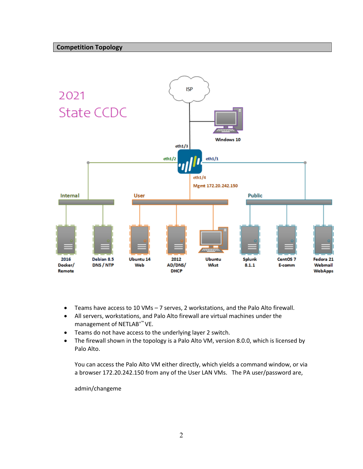<span id="page-17-0"></span>

- Teams have access to 10 VMs 7 serves, 2 workstations, and the Palo Alto firewall.
- All servers, workstations, and Palo Alto firewall are virtual machines under the management of NETLAB<sup>+™</sup> VE.
- Teams do not have access to the underlying layer 2 switch.
- The firewall shown in the topology is a Palo Alto VM, version 8.0.0, which is licensed by Palo Alto.

You can access the Palo Alto VM either directly, which yields a command window, or via a browser 172.20.242.150 from any of the User LAN VMs. The PA user/password are,

admin/changeme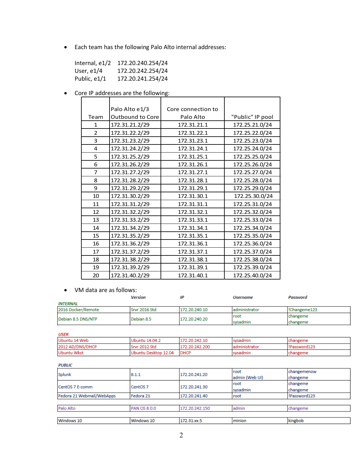• Each team has the following Palo Alto internal addresses:

| Internal, $e1/2$ | 172.20.240.254/24 |
|------------------|-------------------|
| User, $e1/4$     | 172.20.242.254/24 |
| Public, e1/1     | 172.20.241.254/24 |

• Core IP addresses are the following:

|                | Palo Alto e1/3   | Core connection to |                  |
|----------------|------------------|--------------------|------------------|
| Team           | Outbound to Core | Palo Alto          | "Public" IP pool |
| $\mathbf{1}$   | 172.31.21.2/29   | 172.31.21.1        | 172.25.21.0/24   |
| $\mathcal{P}$  | 172.31.22.2/29   | 172.31.22.1        | 172.25.22.0/24   |
| 3              | 172.31.23.2/29   | 172.31.23.1        | 172.25.23.0/24   |
| 4              | 172.31.24.2/29   | 172.31.24.1        | 172.25.24.0/24   |
| 5              | 172.31.25.2/29   | 172.31.25.1        | 172.25.25.0/24   |
| 6              | 172.31.26.2/29   | 172.31.26.1        | 172.25.26.0/24   |
| $\overline{7}$ | 172.31.27.2/29   | 172.31.27.1        | 172.25.27.0/24   |
| 8              | 172.31.28.2/29   | 172.31.28.1        | 172.25.28.0/24   |
| 9              | 172.31.29.2/29   | 172.31.29.1        | 172.25.29.0/24   |
| 10             | 172.31.30.2/29   | 172.31.30.1        | 172.25.30.0/24   |
| 11             | 172.31.31.2/29   | 172.31.31.1        | 172.25.31.0/24   |
| 12             | 172.31.32.2/29   | 172.31.32.1        | 172.25.32.0/24   |
| 13             | 172.31.33.2/29   | 172.31.33.1        | 172.25.33.0/24   |
| 14             | 172.31.34.2/29   | 172.31.34.1        | 172.25.34.0/24   |
| 15             | 172.31.35.2/29   | 172.31.35.1        | 172.25.35.0/24   |
| 16             | 172.31.36.2/29   | 172.31.36.1        | 172.25.36.0/24   |
| 17             | 172.31.37.2/29   | 172.31.37.1        | 172.25.37.0/24   |
| 18             | 172.31.38.2/29   | 172.31.38.1        | 172.25.38.0/24   |
| 19             | 172.31.39.2/29   | 172.31.39.1        | 172.25.39.0/24   |
| 20             | 172.31.40.2/29   | 172.31.40.1        | 172.25.40.0/24   |

#### • VM data are as follows:

|                    | <b>Version</b> | IΡ            | <i><b>Username</b></i> | Password    |
|--------------------|----------------|---------------|------------------------|-------------|
| INTERNAL           |                |               |                        |             |
| 2016 Docker/Remote | Srvr 2016 Std  | 172 20 240 10 | administrator          | Changeme123 |
|                    | Debian 8.5     | 172.20.240.20 | root                   | changeme    |
| Debian 8.5 DNS/NTP |                |               | sysadmin               | changeme    |

| USER             |                      |                |               |             |  |  |  |  |
|------------------|----------------------|----------------|---------------|-------------|--|--|--|--|
| Ubuntu 14 Web    | Ubuntu 14.04.2       | 172.20.242.10  | sysadmin      | changeme    |  |  |  |  |
| 2012 AD/DNS/DHCP | Srvr 2012 Std        | 172.20.242.200 | administrator | Password123 |  |  |  |  |
| Ubuntu Wkst      | Ubuntu Desktop 12.04 | <b>DHCP</b>    | sysadmin      | changeme    |  |  |  |  |

#### **PUBLIC**

| Windows 10                | Windows 10          | 172.31.xx.5    | minion         | kingbob      |  |
|---------------------------|---------------------|----------------|----------------|--------------|--|
|                           |                     |                |                |              |  |
| Palo Alto                 | <b>PAN OS 8.0.0</b> | 172.20.242.150 | admin          | changeme     |  |
|                           |                     |                |                |              |  |
| Fedora 21 Webmail/WebApps | Fedora 21           | 172.20.241.40  | root           | !Password123 |  |
|                           |                     |                | sysadmin       | changeme     |  |
| CentOS 7 E-comm           | CentOS <sub>7</sub> | 172 20 241 30  | root           | changeme     |  |
|                           |                     |                | admin (Web UI) | changeme     |  |
| Splunk                    | 8.1.1               | 172.20.241.20  | root           | changemenow  |  |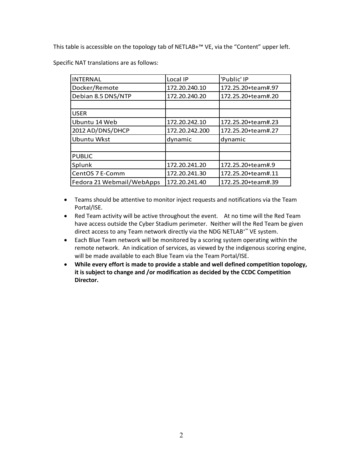This table is accessible on the topology tab of NETLAB+™ VE, via the "Content" upper left.

Specific NAT translations are as follows:

| <b>INTERNAL</b>           | Local IP       | 'Public' IP        |
|---------------------------|----------------|--------------------|
| Docker/Remote             | 172.20.240.10  | 172.25.20+team#.97 |
| Debian 8.5 DNS/NTP        | 172.20.240.20  | 172.25.20+team#.20 |
|                           |                |                    |
| <b>USER</b>               |                |                    |
| Ubuntu 14 Web             | 172.20.242.10  | 172.25.20+team#.23 |
| 2012 AD/DNS/DHCP          | 172.20.242.200 | 172.25.20+team#.27 |
| Ubuntu Wkst               | dynamic        | dynamic            |
|                           |                |                    |
| <b>PUBLIC</b>             |                |                    |
| Splunk                    | 172.20.241.20  | 172.25.20+team#.9  |
| CentOS 7 E-Comm           | 172.20.241.30  | 172.25.20+team#.11 |
| Fedora 21 Webmail/WebApps | 172.20.241.40  | 172.25.20+team#.39 |

- Teams should be attentive to monitor inject requests and notifications via the Team Portal/ISE.
- Red Team activity will be active throughout the event. At no time will the Red Team have access outside the Cyber Stadium perimeter. Neither will the Red Team be given direct access to any Team network directly via the NDG NETLAB+™ VE system.
- Each Blue Team network will be monitored by a scoring system operating within the remote network. An indication of services, as viewed by the indigenous scoring engine, will be made available to each Blue Team via the Team Portal/ISE.
- **While every effort is made to provide a stable and well defined competition topology, it is subject to change and /or modification as decided by the CCDC Competition Director.**